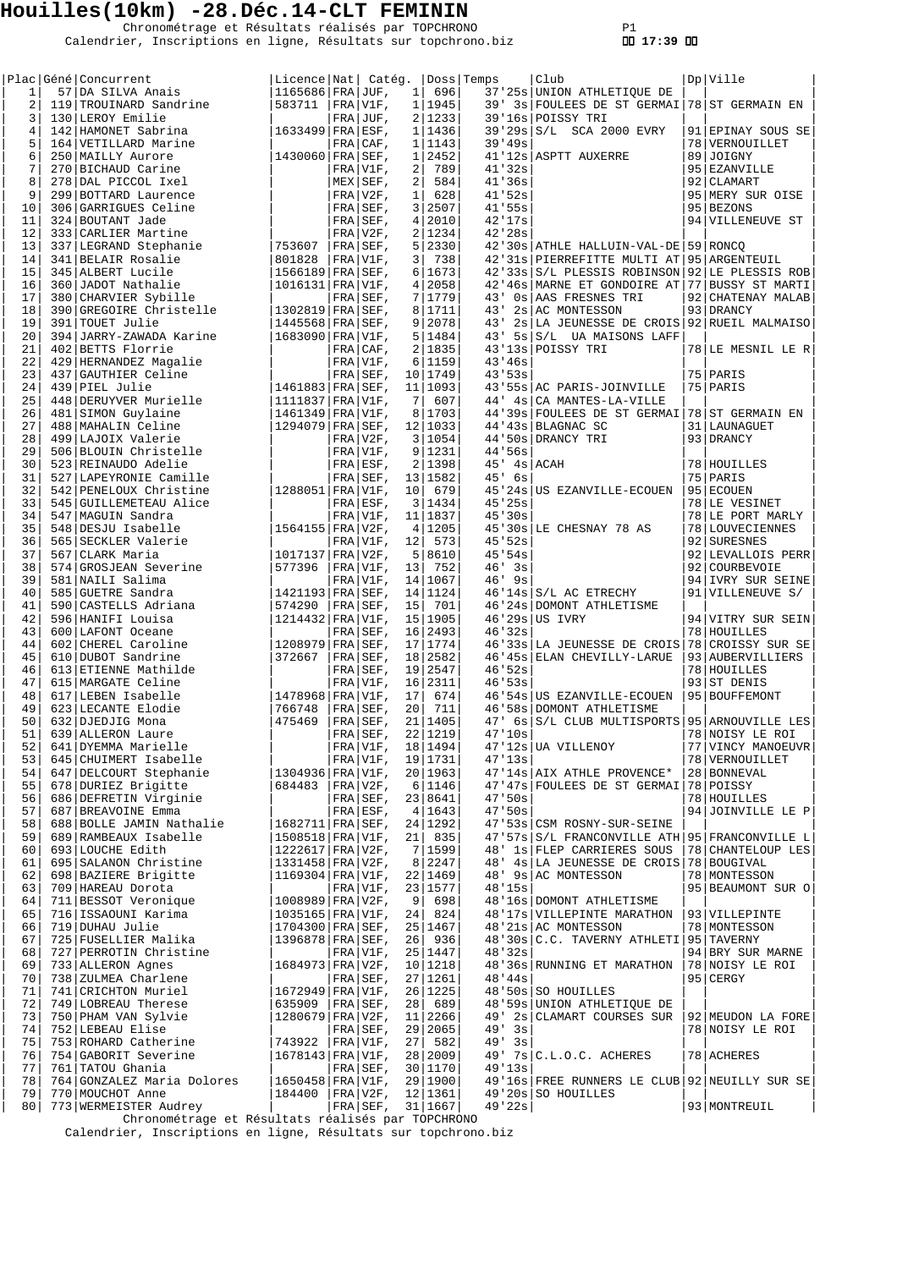Chronométrage et Résultats réalisés par TOPCHRONO P1 Calendrier, Inscriptions en ligne, Résultats sur topchrono.biz  **17:39** 

|                     | <sub> </sub> concurrent<br>57 DA SILVA Anais<br>19 TROUINING<br>  Plac   Géné   Concurrent                                                                                   | Licence Nat  Catég.                             |                           |          |                      | Doss Temps |                      | Club                                                                | Dp Ville                             |
|---------------------|------------------------------------------------------------------------------------------------------------------------------------------------------------------------------|-------------------------------------------------|---------------------------|----------|----------------------|------------|----------------------|---------------------------------------------------------------------|--------------------------------------|
| 1                   |                                                                                                                                                                              | 1165686   FRA   JUF,                            |                           |          | 1   696              |            |                      | 37'25s UNION ATHLETIQUE DE                                          |                                      |
| 2                   | 119 TROUINARD Sandrine                                                                                                                                                       | 583711   FRA   V1F,                             |                           |          | 1 1945               |            |                      | 39' 3s FOULEES DE ST GERMAI 78 ST GERMAIN EN                        |                                      |
| 3<br>$\overline{4}$ | 130 LEROY Emilie<br>142 HAMONET Sabrina                                                                                                                                      | $ 1633499 $ FRA $ ESF,$                         | $FRA$ JUF,                |          | 2 1233 <br>1 1436    |            |                      | 39'16s POISSY TRI<br>39'29s S/L SCA 2000 EVRY                       | 91 EPINAY SOUS SE                    |
| 5                   |                                                                                                                                                                              |                                                 | FRA CAF,                  |          | 1 1143               |            | 39'49s               |                                                                     | 78   VERNOUILLET                     |
| 6                   | 164   VETILIARD Marine<br>250   MAILLY Aurore<br>270   BICHAUD Carine<br>278   DAL PICCOL Ixel<br>299   BOTTARD Laurence<br>306   GARRIGUES Celine<br>304   GARRIGUES Celine | $ 1430060 $ FRA   SEF,                          |                           |          | 1 2452               |            |                      | 41'12s ASPTT AUXERRE                                                | 89 JOIGNY                            |
| 7                   |                                                                                                                                                                              |                                                 | FRA V1F,                  | 2        | 789                  |            | 41'32s               |                                                                     | 95 EZANVILLE                         |
| 8                   |                                                                                                                                                                              |                                                 | MEX SEF,                  | $2 \mid$ | 584                  |            | 41'36s               |                                                                     | 92 CLAMART                           |
| 9                   |                                                                                                                                                                              |                                                 | $FRA V2F$ ,               |          | 1   628              |            | 41'52s               |                                                                     | 95 MERY SUR OISE                     |
| 10<br>11            | 324 BOUTANT Jade                                                                                                                                                             |                                                 | FRA SEF,                  |          | 3 2507<br>4 2010     |            | 41'55s<br>42'17s     |                                                                     | 95 BEZONS<br>94 VILLENEUVE ST        |
| 12                  | 333 CARLIER Martine                                                                                                                                                          |                                                 | $FRA$ SEF,<br>$FRA V2F$ , |          | 2 1234               |            | 42'28s               |                                                                     |                                      |
| 13                  | 337 LEGRAND Stephanie                                                                                                                                                        | $ 753607 $ FRA SEF,                             |                           |          | 5 2330               |            |                      | 42'30s ATHLE HALLUIN-VAL-DE   59   RONCO                            |                                      |
| 14                  | 341 BELAIR Rosalie                                                                                                                                                           | 801828                                          | $ FRA V1F$ ,              |          | 3   738              |            |                      | 42'31s   PIERREFITTE MULTI AT   95   ARGENTEUIL                     |                                      |
| 15                  | 345 ALBERT Lucile                                                                                                                                                            | 1566189 FRA SEF,                                |                           |          | 6 1673               |            |                      | 42'33s S/L PLESSIS ROBINSON 92 LE PLESSIS ROB                       |                                      |
| 16                  | 360 JADOT Nathalie                                                                                                                                                           | 1016131 FRA V1F,                                |                           |          | 4 2058               |            |                      | 42'46s MARNE ET GONDOIRE AT 77 BUSSY ST MARTI                       |                                      |
| 17<br>18            | 380 CHARVIER Sybille<br>390 GREGOIRE Christelle                                                                                                                              | 1302819 FRA SEF,                                | FRA SEF,                  |          | 7 1779<br>8 1711     |            |                      | 43' Os AAS FRESNES TRI<br>43' 2s AC MONTESSON                       | 92 CHATENAY MALAB<br>93 DRANCY       |
| 19                  | 391 TOUET Julie                                                                                                                                                              | $ 1445568 $ FRA $ $ SEF,                        |                           |          | 9 2078               |            |                      | 43' 2s LA JEUNESSE DE CROIS 92 RUEIL MALMAISO                       |                                      |
| 20                  | 394 JARRY-ZAWADA Karine                                                                                                                                                      | 1683090 FRA V1F,                                |                           |          | 5 1484               |            |                      | 43' 5s S/L UA MAISONS LAFF                                          |                                      |
| 21                  | 402 BETTS Florrie                                                                                                                                                            |                                                 | $FRA$ $CAF$ ,             |          | 2 1835               |            |                      | 43'13s POISSY TRI                                                   | 78 LE MESNIL LE R                    |
| 22                  | 429 HERNANDEZ Magalie<br>437 GAUTHIER Celine                                                                                                                                 |                                                 | $FRA V1F$ ,               |          | 6 1159               |            | 43'46s               |                                                                     |                                      |
| 23                  |                                                                                                                                                                              |                                                 | $ FRA SEF$ ,              |          | 10   1749            |            | 43'53s               |                                                                     | 75 PARIS                             |
| 24<br>25            | 439 PIEL Julie<br>448 DERUYVER Murielle                                                                                                                                      | 1461883 FRA SEF,<br> 1111837 FRA V1F,           |                           | 7        | 11 1093<br>$  607  $ |            |                      | 43'55s AC PARIS-JOINVILLE<br>44' 4s CA MANTES-LA-VILLE              | 75 PARIS                             |
| 26                  | 481 SIMON Guylaine                                                                                                                                                           | 1461349 FRA V1F,                                |                           |          | 8 1703               |            |                      | 44'39s FOULEES DE ST GERMAI 78 ST GERMAIN EN                        |                                      |
| 27                  | 488 MAHALIN Celine                                                                                                                                                           | 1294079   FRA   SEF,                            |                           |          | 12 1033              |            |                      | 44'43s BLAGNAC SC                                                   | 31   LAUNAGUET                       |
| 28                  | 499   LAJOIX Valerie                                                                                                                                                         |                                                 | FRA V2F,                  |          | 3 1054               |            |                      | 44'50s DRANCY TRI                                                   | 93 DRANCY                            |
| 29                  | 506 BLOUIN Christelle                                                                                                                                                        |                                                 | FRA V1F,                  |          | 9 1231               |            | 44.56s               |                                                                     |                                      |
| 30                  | 523 REINAUDO Adelie                                                                                                                                                          |                                                 | FRA ESF,                  |          | 2 1398               |            |                      | $45'$ $4s$ $ACAH$                                                   | 78 HOUILLES                          |
| 31<br>32            | 527 LAPEYRONIE Camille<br>542 PENELOUX Christine                                                                                                                             | 1288051 FRA V1F,                                | $ FRA SEF$ ,              |          | 13 1582<br>10 679    |            | $45'$ 6s             | 45'24s US EZANVILLE-ECOUEN                                          | 75 PARIS<br>95 ECOUEN                |
| 33                  | 545 GUILLEMETEAU Alice                                                                                                                                                       |                                                 | FRA ESF,                  |          | 3 1434               |            | 45'25s               |                                                                     | 78 LE VESINET                        |
| 34                  | 547   MAGUIN Sandra                                                                                                                                                          |                                                 | $FRA V1F$ ,               |          | 11   1837            |            | 45'30s               |                                                                     | 78 LE PORT MARLY                     |
| 35                  | 548 DESJU Isabelle                                                                                                                                                           | $ 1564155 $ FRA $ V2F,$                         |                           |          | 4 1205               |            |                      | 45'30s LE CHESNAY 78 AS                                             | 78   LOUVECIENNES                    |
| 36                  | 565 SECKLER Valerie                                                                                                                                                          |                                                 | FRA V1F,                  |          | $12$   573           |            | 45.52s               |                                                                     | 92 SURESNES                          |
| 37<br>38            | 567 CLARK Maria                                                                                                                                                              | 1017137 FRA V2F,<br> 577396   FRA   V1F,        |                           |          | 5 8610               |            | 45.54s<br>$46'$ $3s$ |                                                                     | 92 LEVALLOIS PERR<br>92 COURBEVOIE   |
| 39                  | 574 GROSJEAN Severine<br>581 NAILI Salima                                                                                                                                    |                                                 | $FRA V1F$ ,               |          | 13 752<br>14 1067    |            | $46'$ 9s             |                                                                     | 94 IVRY SUR SEINE                    |
| 40                  | 585 GUETRE Sandra                                                                                                                                                            | 1421193 FRA SEF,                                |                           |          | 14   1124            |            |                      | $46'14s$ $S/L$ AC ETRECHY                                           | 91 VILLENEUVE S/                     |
| 41                  | 590 CASTELLS Adriana                                                                                                                                                         | 574290                                          | $ FRA SEF$ ,              | 15       | 701                  |            |                      | 46'24s DOMONT ATHLETISME                                            |                                      |
| 42                  | 596 HANIFI Louisa                                                                                                                                                            | 1214432 FRA V1F,                                |                           |          | 15 1905              |            |                      | $46'29s$ US IVRY                                                    | 94 VITRY SUR SEIN                    |
| 43                  | 600 LAFONT Oceane                                                                                                                                                            |                                                 | FRA SEF,                  |          | 16 2493              |            | 46'32s               |                                                                     | 78 HOUILLES                          |
| 44<br>45            | 602 CHEREL Caroline<br>610 DUBOT Sandrine                                                                                                                                    | $ 1208979 $ FRA $ $ SEF,<br>$ 372667 $ FRA SEF, |                           |          | 17   1774            |            |                      | 46'33s LA JEUNESSE DE CROIS 78 CROISSY SUR SE                       |                                      |
| 46                  | 613 ETIENNE Mathilde                                                                                                                                                         |                                                 | FRA SEF,                  |          | 18 2582<br>19 2547   |            | 46.52s               | 46'45s ELAN CHEVILLY-LARUE                                          | 93 AUBERVILLIERS<br>78 HOUILLES      |
| 47                  | 615 MARGATE Celine                                                                                                                                                           |                                                 | $FRA V1F$ ,               |          | 16 2311              |            | 46'53s               |                                                                     | 93 ST DENIS                          |
| 48                  | 617 LEBEN Isabelle                                                                                                                                                           | 1478968 FRA V1F,                                |                           | 17       | 674                  |            |                      | 46'54s US EZANVILLE-ECOUEN                                          | 95 BOUFFEMONT                        |
| 49                  | 623 LECANTE Elodie                                                                                                                                                           | 766748                                          | $ FRA SEF$ ,              |          | 20 711               |            |                      | 46'58s DOMONT ATHLETISME                                            |                                      |
| 50                  | 632 DJEDJIG Mona                                                                                                                                                             | 475469                                          | FRA SEF,                  |          | 21 1405              |            |                      | 47' 6s S/L CLUB MULTISPORTS 95 ARNOUVILLE LES                       |                                      |
| 51<br>52            | 639 ALLERON Laure<br>641 DYEMMA Marielle                                                                                                                                     |                                                 | FRA SEF,<br>$ FRA V1F$ ,  |          | 22 1219<br>18   1494 |            | 47'10s               | 47'12s UA VILLENOY                                                  | 78 NOISY LE ROI<br>77 VINCY MANOEUVR |
| 53                  | 645 CHUIMERT Isabelle                                                                                                                                                        |                                                 | FRA V1F,                  |          | 19 1731              |            | 47'13s               |                                                                     | 78   VERNOUILLET                     |
| 54                  | 647 DELCOURT Stephanie                                                                                                                                                       | 1304936 FRA V1F,                                |                           |          | 20 1963              |            |                      | 47'14s AIX ATHLE PROVENCE*                                          | 28   BONNEVAL                        |
| 55                  | 678 DURIEZ Brigitte                                                                                                                                                          | 684483   FRA   V2F,                             |                           |          | 6 1146               |            |                      | 47'47s FOULEES DE ST GERMAI 78 POISSY                               |                                      |
| 56                  | 686 DEFRETIN Virginie                                                                                                                                                        |                                                 | $FRA$ SEF,                |          | 23 8641              |            | 47.50s               |                                                                     | 78 HOUILLES                          |
| 57 <br>58           | 687 BREAVOINE Emma                                                                                                                                                           | 1682711   FRA   SEF,                            | FRA ESF,                  |          | 4 1643               |            | 47.50s               | 47'53s CSM ROSNY-SUR-SEINE                                          | 94 JOINVILLE LE P                    |
| 59                  | 688 BOLLE JAMIN Nathalie<br>689 RAMBEAUX Isabelle                                                                                                                            | 1508518   FRA   V1F,                            |                           |          | 24   1292<br>21 835  |            |                      | 47'57s S/L FRANCONVILLE ATH 95 FRANCONVILLE L                       |                                      |
| 60                  | 693 LOUCHE Edith                                                                                                                                                             | $1222617$ FRA V2F,                              |                           |          | 7 1599               |            |                      | 48' 1s FLEP CARRIERES SOUS                                          | 78 CHANTELOUP LES                    |
| 61                  | 695 SALANON Christine                                                                                                                                                        | $1331458$ FRA V2F,                              |                           |          | 8 2247               |            |                      | 48' 4s LA JEUNESSE DE CROIS 78 BOUGIVAL                             |                                      |
| 62                  | 698 BAZIERE Brigitte                                                                                                                                                         | $1169304$ FRA V1F,                              |                           |          | 22   1469            |            |                      | 48' 9s AC MONTESSON                                                 | 78   MONTESSON                       |
| 63                  | 709 HAREAU Dorota                                                                                                                                                            |                                                 | FRA V1F,                  |          | 23 1577              |            | 48'15s               |                                                                     | 95 BEAUMONT SUR O                    |
| 64<br>65            | 711 BESSOT Veronique<br>716 ISSAOUNI Karima                                                                                                                                  | $1008989$ FRA V2F,<br>$1035165$ FRA V1F,        |                           |          | 9   698<br>24 824    |            |                      | 48'16s DOMONT ATHLETISME<br>48'17s VILLEPINTE MARATHON              | 93 VILLEPINTE                        |
| 66                  | 719 DUHAU Julie                                                                                                                                                              | 1704300   FRA   SEF,                            |                           |          | 25 1467              |            |                      | 48'21s AC MONTESSON                                                 | 78 MONTESSON                         |
| 67                  | 725 FUSELLIER Malika                                                                                                                                                         | 1396878   FRA   SEF,                            |                           |          | 26 936               |            |                      | 48'30s C.C. TAVERNY ATHLETI 95 TAVERNY                              |                                      |
| 68                  | 727 PERROTIN Christine                                                                                                                                                       |                                                 | FRA V1F,                  |          | 25   1447            |            | 48'32s               |                                                                     | 94 BRY SUR MARNE                     |
| 69                  | 733 ALLERON Agnes                                                                                                                                                            | 1684973   FRA   V2F,                            |                           |          | 10 1218              |            |                      | 48'36s RUNNING ET MARATHON                                          | 78 NOISY LE ROI                      |
| 70                  | 738 ZULMEA Charlene                                                                                                                                                          |                                                 | FRA SEF,                  |          | 27 1261              |            | 48'44s               |                                                                     | $95$ CERGY                           |
| 71  <br>72          | 741 CRICHTON Muriel<br>749 LOBREAU Therese                                                                                                                                   | $1672949$ FRA V1F,<br>635909 $ FRA SEF,$        |                           |          | 26 1225<br>28 689    |            |                      | 48'50s SO HOUILLES<br>48'59s UNION ATHLETIQUE DE                    |                                      |
| 731                 | 750 PHAM VAN Sylvie                                                                                                                                                          | $1280679$ FRA V2F,                              |                           |          | 11 2266              |            |                      | 49' 2s CLAMART COURSES SUR                                          | 92 MEUDON LA FORE                    |
| 74                  | 752 LEBEAU Elise                                                                                                                                                             |                                                 | FRA SEF,                  |          | 29 2065              |            | $49'$ 3s             |                                                                     | 78 NOISY LE ROI                      |
| 75                  | 753 ROHARD Catherine                                                                                                                                                         | 743922   FRA   V1F,                             |                           |          | 27 582               |            | $49'$ 3s             |                                                                     |                                      |
| 76                  | 754 GABORIT Severine                                                                                                                                                         | 1678143   FRA   V1F,                            |                           |          | 28 2009              |            |                      | 49' 7s C.L.O.C. ACHERES                                             | 78 ACHERES                           |
| 77                  | 761 TATOU Ghania                                                                                                                                                             |                                                 | $FRA SEF$ ,               |          | 30 1170              |            | 49'13s               |                                                                     |                                      |
| 78<br>79            | 764 GONZALEZ Maria Dolores<br>770 MOUCHOT Anne                                                                                                                               | $1650458$ FRA V1F,<br>184400   FRA   V2F,       |                           |          | 29 1900<br>12   1361 |            |                      | 49'16s FREE RUNNERS LE CLUB 92 NEUILLY SUR SE<br>49'20s SO HOUILLES |                                      |
| 80                  | 773 WERMEISTER Audrey                                                                                                                                                        |                                                 | $FRA$ SEF,                |          | 31 1667              |            | 49'22s               |                                                                     | 93 MONTREUIL                         |

Chronométrage et Résultats réalisés par TOPCHRONO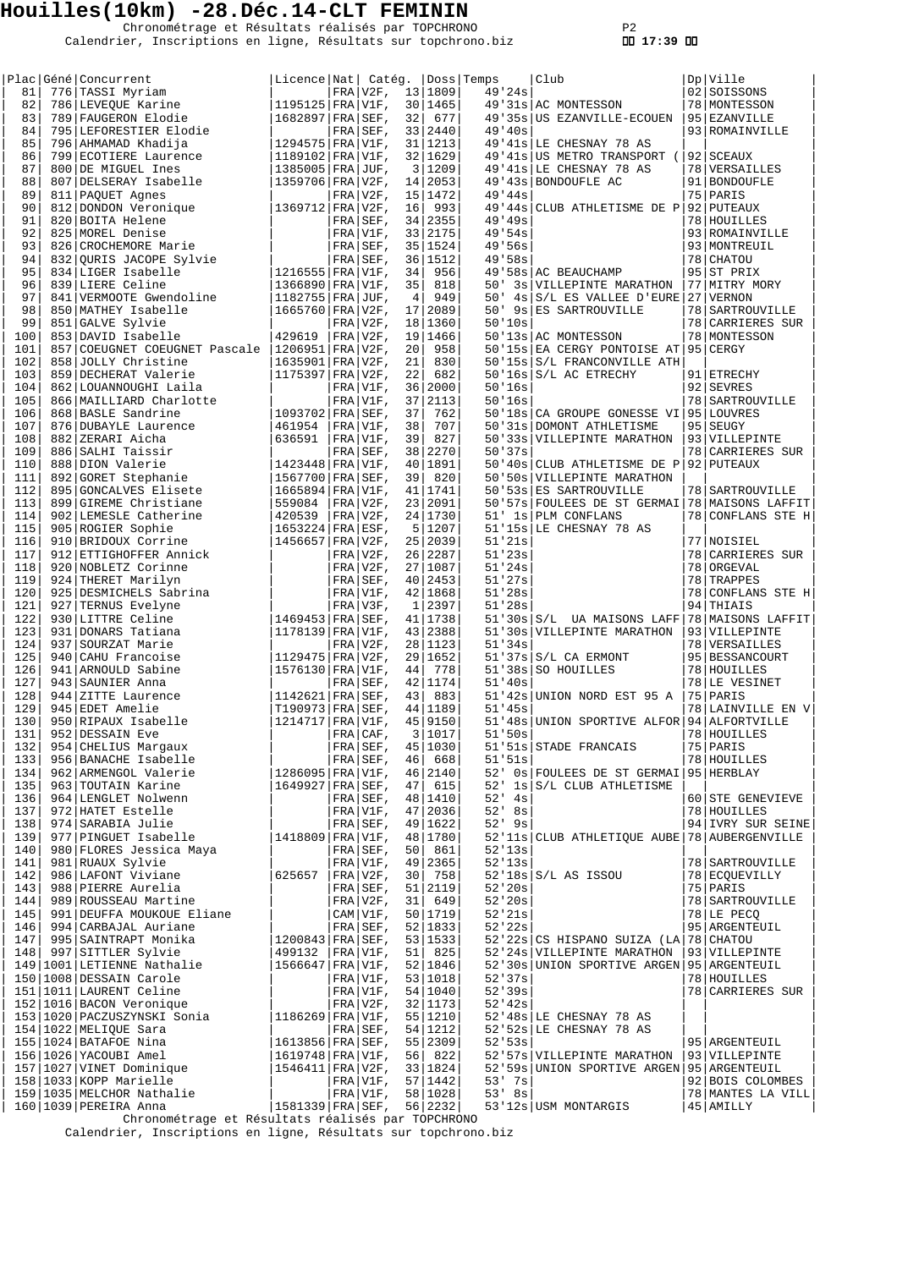Chronométrage et Résultats réalisés par TOPCHRONO P2 Calendrier, Inscriptions en ligne, Résultats sur topchrono.biz  **17:39** 

|     | Plac Géné Concurrent            | Licence   Nat   Catég.   Doss   Temps |              |                 |           |     |            | Club                                           |    | Dp   Ville          |
|-----|---------------------------------|---------------------------------------|--------------|-----------------|-----------|-----|------------|------------------------------------------------|----|---------------------|
| 81  | 776 TASSI Myriam                |                                       | FRA V2F,     |                 | 13 1809   |     | 49'24s     |                                                |    | 02 SOISSONS         |
| 82  | 786 LEVEQUE Karine              | $1195125$ FRA V1F,                    |              |                 | 30 1465   |     |            | 49'31s AC MONTESSON                            |    | 78   MONTESSON      |
| 83  | 789 FAUGERON Elodie             | $1682897$ FRA SEF,                    |              | 32              | 677       |     |            | 49'35s US EZANVILLE-ECOUEN                     |    | 95 EZANVILLE        |
| 84  | 795 LEFORESTIER Elodie          |                                       | FRA SEF,     |                 | 33 2440   |     | 49'40s     |                                                |    | 93 ROMAINVILLE      |
| 85  | 796 AHMAMAD Khadija             | $1294575$ FRA V1F,                    |              |                 | 31   1213 |     |            | 49'41s LE CHESNAY 78 AS                        |    |                     |
| 86  | 799 ECOTIERE Laurence           | $1189102$ FRA V1F,                    |              |                 | 32 1629   |     |            | 49'41s US METRO TRANSPORT (                    |    | 92   SCEAUX         |
| 87  | 800 DE MIGUEL Ines              | $1385005$ FRA JUF,                    |              | 3               | 1209      |     |            | 49'41s LE CHESNAY 78 AS                        |    | 78 VERSAILLES       |
| 88  | 807 DELSERAY Isabelle           | $1359706$ FRA V2F,                    |              |                 | 14 2053   |     |            | 49'43s BONDOUFLE AC                            |    | 91 BONDOUFLE        |
| 89  | 811 PAQUET Agnes                |                                       | $FRA V2F$ ,  |                 | 15   1472 |     | 49'44s     |                                                |    | 75 PARIS            |
| 90  | 812 DONDON Veronique            | 1369712   FRA   V2F,                  |              | 16              | 993       |     |            | 49'44s CLUB ATHLETISME DE P 92 PUTEAUX         |    |                     |
| 91  | 820 BOITA Helene                |                                       | $FRA SEF$ ,  |                 | 34 2355   |     | 49'49s     |                                                |    | 78 HOUILLES         |
| 92  | 825 MOREL Denise                |                                       | FRA V1F,     |                 | 33 2175   |     | 49.54s     |                                                |    | 93 ROMAINVILLE      |
| 93  | 826 CROCHEMORE Marie            |                                       | FRA SEF,     |                 | 35   1524 |     | 49'56s     |                                                |    | 93 MONTREUIL        |
|     |                                 |                                       |              |                 |           |     |            |                                                |    |                     |
| 94  | 832 QURIS JACOPE Sylvie         |                                       | $FRA SEF$ ,  |                 | 36 1512   |     | 49.58s     |                                                |    | 78 CHATOU           |
| 95  | 834 LIGER Isabelle              | $1216555$ FRA V1F,                    |              | 34              | 956       |     |            | 49'58s AC BEAUCHAMP                            |    | 95 ST PRIX          |
| 96  | 839 LIERE Celine                | $1366890$ FRA V1F,                    |              | 35              | 818       | 50' |            | 3s VILLEPINTE MARATHON                         |    | 77   MITRY MORY     |
| 97  | 841 VERMOOTE Gwendoline         | $ 1182755 $ FRA $ JUF$ ,              |              | $\overline{4}$  | 949       | 50' |            | 4s S/L ES VALLEE D'EURE 27 VERNON              |    |                     |
| 98  | 850 MATHEY Isabelle             | $1665760$ FRA $V2F$ ,                 |              |                 | 17 2089   | 50' |            | 9s ES SARTROUVILLE                             |    | 78   SARTROUVILLE   |
| 99  | 851 GALVE Sylvie                |                                       | $FRA V2F$ ,  |                 | 18 1360   |     | 50'10s     |                                                |    | 78 CARRIERES SUR    |
| 100 | 853 DAVID Isabelle              | 429619                                | $ FRA V2F$ , |                 | 19 1466   |     |            | 50'13s AC MONTESSON                            |    | 78   MONTESSON      |
| 101 | 857 COEUGNET COEUGNET Pascale   | $ 1206951 $ FRA $ V2F$ ,              |              | 20 <sup>1</sup> | 958       |     |            | 50'15s EA CERGY PONTOISE AT 95 CERGY           |    |                     |
| 102 | 858 JOLLY Christine             | $1635901$   FRA   V2F,                |              | 21              | 830       |     |            | 50'15s S/L FRANCONVILLE ATH                    |    |                     |
| 103 | 859 DECHERAT Valerie            | $1175397$ FRA V2F,                    |              | 22              | 682       |     |            | $50'16s$ $S/L$ AC ETRECHY                      |    | 91 ETRECHY          |
| 104 | 862 LOUANNOUGHI Laila           |                                       | $FRA V1F$ ,  |                 | 36 2000   |     | 50'16s     |                                                |    | 92   SEVRES         |
| 105 | 866 MAILLIARD Charlotte         |                                       | $FRA V1F$ ,  |                 | 37 2113   |     | 50'16s     |                                                |    | 78   SARTROUVILLE   |
| 106 | 868 BASLE Sandrine              | 1093702   FRA   SEF,                  |              | 37              | 762       |     |            | 50'18s   CA GROUPE GONESSE VI   95   LOUVRES   |    |                     |
| 107 | 876 DUBAYLE Laurence            | 461954                                | $FRA V1F$ ,  | 38              | 707       |     |            | 50'31s DOMONT ATHLETISME                       |    | 95 SEUGY            |
| 108 | 882 ZERARI Aicha                | 636591                                | $ FRA V1F$ , | 39              | 827       |     |            | 50'33s VILLEPINTE MARATHON                     |    | 93 VILLEPINTE       |
| 109 | 886 SALHI Taissir               |                                       | FRA SEF,     |                 | 38 2270   |     | 50'37s     |                                                |    | 78 CARRIERES SUR    |
|     |                                 |                                       |              |                 | 40   1891 |     |            |                                                |    |                     |
| 110 | 888 DION Valerie                | $1423448$ FRA V1F,                    |              |                 |           |     |            | 50'40s CLUB ATHLETISME DE P                    |    | 92 PUTEAUX          |
| 111 | 892 GORET Stephanie             | $1567700$   FRA   SEF,                |              | 39              | 820       |     |            | 50'50s VILLEPINTE MARATHON                     |    |                     |
| 112 | 895 GONCALVES Elisete           | $1665894$ FRA V1F,                    |              |                 | 41   1741 |     |            | 50'53s ES SARTROUVILLE                         |    | 78   SARTROUVILLE   |
| 113 | 899 GIREME Christiane           | 559084                                | $ FRA V2F$ , |                 | 23 2091   |     |            | 50'57s FOULEES DE ST GERMAI                    |    | 78 MAISONS LAFFIT   |
| 114 | 902 LEMESLE Catherine           | 420539                                | $FRA V2F$ ,  |                 | 24   1730 |     |            | 51' 1s PLM CONFLANS                            |    | 78 CONFLANS STE H   |
| 115 | 905 ROGIER Sophie               | $1653224$   FRA   ESF,                |              |                 | 5 1207    |     |            | 51'15s LE CHESNAY 78 AS                        |    |                     |
| 116 | 910 BRIDOUX Corrine             | $1456657$ FRA V2F,                    |              |                 | 25 2039   |     | 51'21s     |                                                |    | 77   NOISIEL        |
| 117 | 912 ETTIGHOFFER Annick          |                                       | $FRA V2F$ ,  |                 | 26 2287   |     | 51'23s     |                                                |    | 78 CARRIERES SUR    |
| 118 | 920 NOBLETZ Corinne             |                                       | $FRA V2F$ ,  |                 | 27 1087   |     | 51'24s     |                                                |    | 78 ORGEVAL          |
| 119 | 924 THERET Marilyn              |                                       | $FRA SEF$ ,  |                 | 40 2453   |     | 51'27s     |                                                |    | 78 TRAPPES          |
| 120 | 925 DESMICHELS Sabrina          |                                       | $FRA V1F$ ,  |                 | 42 1868   |     | 51'28s     |                                                |    | 78 CONFLANS STE H   |
| 121 | 927 TERNUS Evelyne              |                                       | FRA V3F,     | $\mathbf{1}$    | 2397      |     | 51'28s     |                                                | 94 | THIAIS              |
| 122 | 930 LITTRE Celine               | $1469453$ FRA SEF,                    |              |                 | 41   1738 |     |            | 51'30s S/L UA MAISONS LAFF                     |    | 78   MAISONS LAFFIT |
| 123 | 931 DONARS Tatiana              | $1178139$ FRA V1F,                    |              |                 | 43 2388   |     |            | 51'30s VILLEPINTE MARATHON                     |    | 93 VILLEPINTE       |
| 124 | 937 SOURZAT Marie               |                                       | FRA V2F,     |                 | 28 1123   |     | 51'34s     |                                                |    | 78 VERSAILLES       |
| 125 | 940 CAHU Francoise              | $1129475$ FRA V2F,                    |              | 29              | 1652      |     |            | $51'37s$ $S/L$ CA ERMONT                       |    | 95 BESSANCOURT      |
| 126 | 941 ARNOULD Sabine              | $1576130$ FRA V1F,                    |              | 44              | 778       |     |            | 51'38s SO HOUILLES                             |    | 78 HOUILLES         |
| 127 | 943 SAUNIER Anna                |                                       | FRA SEF,     |                 | 42 1174   |     | 51'40s     |                                                |    | 78 LE VESINET       |
| 128 | 944 ZITTE Laurence              | $ 1142621 $ FRA $ SEF,$               |              | 43              | 883       |     |            | 51'42s UNION NORD EST 95 A                     |    | 75 PARIS            |
| 129 |                                 |                                       |              |                 |           |     | 51'45s     |                                                |    | 78 LAINVILLE EN V   |
|     | 945 EDET Amelie                 | $ T190973 FRA SEF$ ,                  |              |                 | 44 1189   |     |            |                                                |    |                     |
| 130 | 950 RIPAUX Isabelle             | $ 1214717 $ FRA $ V1F$ ,              |              |                 | 45 9150   |     |            | 51'48s UNION SPORTIVE ALFOR 94 ALFORTVILLE     |    |                     |
| 131 | 952 DESSAIN Eve                 |                                       | FRA CAF,     | $\overline{3}$  | 1017      |     | 51'50s     |                                                |    | 78 HOUILLES         |
| 132 | 954 CHELIUS Margaux             |                                       | $FRA$ SEF,   |                 | 45 1030   |     |            | 51'51s STADE FRANCAIS                          |    | 75   PARIS          |
| 133 | 956 BANACHE Isabelle            |                                       | FRA SEF,     |                 | 46 668    |     | 51'51s     |                                                |    | 78 HOUILLES         |
| 134 | 962 ARMENGOL Valerie            | $1286095$ FRA V1F,                    |              |                 | 46 2140   |     |            | 52' 0s FOULEES DE ST GERMAI 95 HERBLAY         |    |                     |
| 135 | 963 TOUTAIN Karine              | $1649927$ FRA SEF,                    |              |                 | 47 615    |     |            | 52' 1s S/L CLUB ATHLETISME                     |    |                     |
| 136 | 964 LENGLET Nolwenn             |                                       | FRA SEF,     |                 | 48   1410 |     | $52'$ 4s   |                                                |    | 60 STE GENEVIEVE    |
| 137 | 972 HATET Estelle               |                                       | FRA V1F,     |                 | 47 2036   |     | $52'$ $8s$ |                                                |    | 78 HOUILLES         |
| 138 | 974 SARABIA Julie               |                                       | $FRA SEF$ ,  |                 | 49 1622   |     | $52'$ 9s   |                                                |    | 94 IVRY SUR SEINE   |
| 139 | 977 PINGUET Isabelle            | $1418809$ FRA V1F,                    |              |                 | 48 1780   |     |            | 52'11s CLUB ATHLETIQUE AUBE 78 AUBERGENVILLE   |    |                     |
| 140 | 980 FLORES Jessica Maya         |                                       | FRA SEF,     |                 | 50 861    |     | 52'13s     |                                                |    |                     |
| 141 | 981 RUAUX Sylvie                |                                       | FRA V1F,     |                 | 49 2365   |     | 52'13s     |                                                |    | 78   SARTROUVILLE   |
| 142 | 986 LAFONT Viviane              | 625657   FRA   $V2F$ ,                |              |                 | 30 758    |     |            | $52'18s$ $S/L$ AS ISSOU                        |    | 78 ECQUEVILLY       |
| 143 | 988 PIERRE Aurelia              |                                       | FRA SEF,     |                 | 51 2119   |     | 52'20s     |                                                |    | 75 PARIS            |
| 144 | 989 ROUSSEAU Martine            |                                       | FRA V2F,     | 31              | 649       |     | 52'20s     |                                                |    | 78   SARTROUVILLE   |
| 145 | 991 DEUFFA MOUKOUE Eliane       |                                       | CAM V1F,     |                 | 50 1719   |     | 52'21s     |                                                |    | 78 LE PECQ          |
|     | 146   994 CARBAJAL Auriane      |                                       | FRA SEF,     |                 | 52 1833   |     | 52'22s     |                                                |    | 95   ARGENTEUIL     |
| 147 | 995 SAINTRAPT Monika            | $1200843$ FRA SEF,                    |              |                 | 53 1533   |     |            | 52'22s CS HISPANO SUIZA (LA 78 CHATOU          |    |                     |
|     | 148 997 SITTLER Sylvie          | 499132   FRA   V1F,                   |              | 51              | 825       |     |            | 52'24s VILLEPINTE MARATHON                     |    | 93 VILLEPINTE       |
|     | 149 1001 LETIENNE Nathalie      | $1566647$ FRA V1F,                    |              |                 | 52 1846   |     |            | 52'30s UNION SPORTIVE ARGEN 95 ARGENTEUIL      |    |                     |
|     | 150   1008   DESSAIN Carole     |                                       | FRA V1F,     |                 | 53 1018   |     | 52'37s     |                                                |    | 78 HOUILLES         |
|     |                                 |                                       |              |                 |           |     |            |                                                |    |                     |
|     | 151   1011   LAURENT Celine     |                                       | FRA V1F,     |                 | 54 1040   |     | 52'39s     |                                                |    | 78 CARRIERES SUR    |
|     | 152 1016 BACON Veronique        |                                       | FRA V2F,     |                 | 32   1173 |     | 52' 42s    |                                                |    |                     |
|     | 153   1020   PACZUSZYNSKI Sonia | $1186269$ $ $ FRA $ $ V1F,            |              |                 | 55   1210 |     |            | 52'48s LE CHESNAY 78 AS                        |    |                     |
|     | 154   1022   MELIQUE Sara       |                                       | FRA SEF,     |                 | 54 1212   |     |            | 52'52s LE CHESNAY 78 AS                        |    |                     |
|     | 155   1024   BATAFOE Nina       | $1613856$ FRA SEF,                    |              |                 | 55 2309   |     | 52.53s     |                                                |    | 95   ARGENTEUIL     |
|     | 156   1026   YACOUBI Amel       | $1619748$ FRA V1F,                    |              |                 | 56 822    |     |            | 52'57s   VILLEPINTE MARATHON   93   VILLEPINTE |    |                     |
|     | 157   1027   VINET Dominique    | $1546411$ FRA $V2F$ ,                 |              |                 | 33   1824 |     |            | 52'59s UNION SPORTIVE ARGEN 95 ARGENTEUIL      |    |                     |
|     | 158   1033   KOPP Marielle      |                                       | FRA V1F,     |                 | 57 1442   |     | $53'$ 7s   |                                                |    | 92 BOIS COLOMBES    |
|     | 159   1035   MELCHOR Nathalie   |                                       | $FRA V1F$ ,  |                 | 58   1028 |     | $53'$ $8s$ |                                                |    | 78   MANTES LA VILL |
|     | 160   1039   PEREIRA Anna       | $ 1581339 $ FRA $ $ SEF,              |              |                 | 56 2232   |     |            | 53'12s USM MONTARGIS                           |    | $45$ AMILLY         |

Chronométrage et Résultats réalisés par TOPCHRONO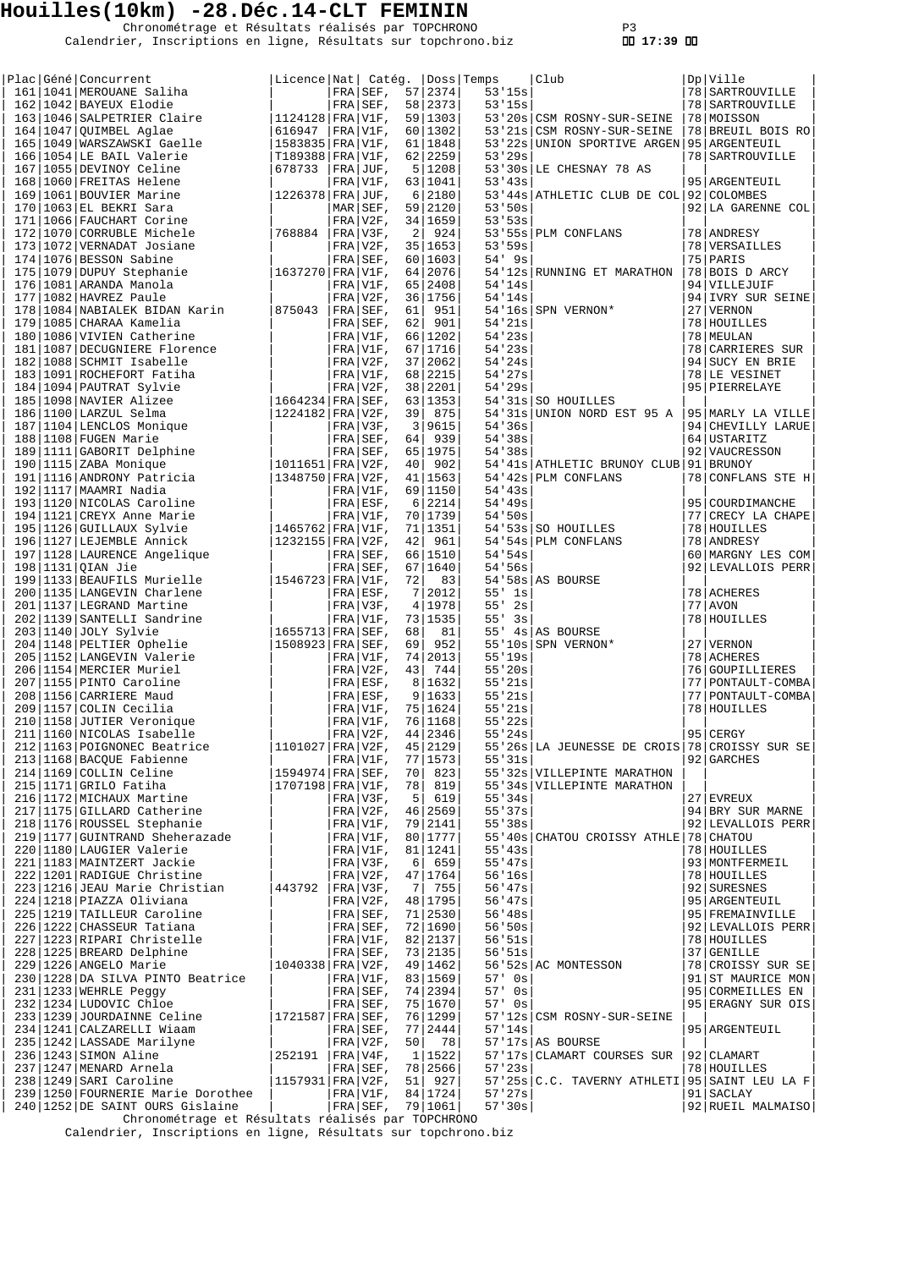Chronométrage et Résultats réalisés par TOPCHRONO P3 Calendrier, Inscriptions en ligne, Résultats sur topchrono.biz  **17:39** 

|  | Plac Géné Concurrent                                                                                                                                                                                    | Licence   Nat   Catég.   Doss   Temps |               |    |           |            | Club                                          | Dp Ville            |
|--|---------------------------------------------------------------------------------------------------------------------------------------------------------------------------------------------------------|---------------------------------------|---------------|----|-----------|------------|-----------------------------------------------|---------------------|
|  | 161   1041   MEROUANE Saliha                                                                                                                                                                            |                                       | FRA SEF,      |    | 57 2374   | 53'15s     |                                               | 78   SARTROUVILLE   |
|  | 162   1042   BAYEUX Elodie                                                                                                                                                                              |                                       | FRA SEF,      |    | 58 2373   | 53'15s     |                                               | 78   SARTROUVILLE   |
|  | 163 1046 SALPETRIER Claire                                                                                                                                                                              | 1124128 FRA V1F,                      |               |    | 59   1303 |            | 53'20s   CSM ROSNY-SUR-SEINE                  | 78 MOISSON          |
|  | $164 1047 $ QUIMBEL Aglae                                                                                                                                                                               | 616947  FRA V1F,                      |               |    | 60   1302 |            | 53'21s CSM ROSNY-SUR-SEINE                    | 78 BREUIL BOIS RO   |
|  | 165   1049   WARSZAWSKI Gaelle                                                                                                                                                                          | 1583835 FRA V1F,                      |               |    | 61   1848 |            | 53'22s UNION SPORTIVE ARGEN 95 ARGENTEUIL     |                     |
|  | 166 1054 LE BAIL Valerie                                                                                                                                                                                | T189388 FRA V1F,                      |               |    | 62 2259   | 53'29s     |                                               | 78 SARTROUVILLE     |
|  | 167   1055   DEVINOY Celine                                                                                                                                                                             | 678733                                | $ FRA JUF$ ,  |    | 5 1208    |            | 53'30s LE CHESNAY 78 AS                       |                     |
|  | 168   1060   FREITAS Helene                                                                                                                                                                             |                                       | FRA V1F,      |    | 63 1041   | 53'43s     |                                               | 95 ARGENTEUIL       |
|  | 169   1061   BOUVIER Marine                                                                                                                                                                             | 1226378   FRA   JUF,                  |               |    | 6 2180    |            | 53'44s ATHLETIC CLUB DE COL                   | 92 COLOMBES         |
|  | 170   1063   EL BEKRI Sara                                                                                                                                                                              |                                       | $MAR$ $SET$ , |    | 59 2120   | 53'50s     |                                               | 92 LA GARENNE COL   |
|  | 171   1066   FAUCHART Corine                                                                                                                                                                            |                                       | $FRA V2F$ ,   |    | 34 1659   | 53'53s     |                                               |                     |
|  | 172   1070   CORRUBLE Michele                                                                                                                                                                           | 1768884                               | $ FRA V3F$ ,  | 2  | 924       |            | 53'55s PLM CONFLANS                           | 78 ANDRESY          |
|  | 173   1072   VERNADAT Josiane                                                                                                                                                                           |                                       | FRA V2F,      |    | 35 1653   | 53'59s     |                                               | 78 VERSAILLES       |
|  | 174 1076 BESSON Sabine                                                                                                                                                                                  |                                       | $FRA SEF$ ,   |    | 60 1603   | $54'$ 9s   |                                               | 75   PARIS          |
|  | $1637270$ FRA V1F,<br>175   1079   DUPUY Stephanie                                                                                                                                                      |                                       |               |    | 64 2076   |            | 54'12s RUNNING ET MARATHON                    | 78 BOIS D ARCY      |
|  | 176   1081   ARANDA Manola                                                                                                                                                                              |                                       | $FRA V1F$ ,   |    | 65 2408   | 54'14s     |                                               | 94 VILLEJUIF        |
|  | $177 1082 $ HAVREZ Paule                                                                                                                                                                                |                                       | $FRA V2F$ ,   |    | 36 1756   | 54'14s     |                                               | 94 IVRY SUR SEINE   |
|  | 178   1084   NABIALEK BIDAN Karin                                                                                                                                                                       | 875043                                | FRA SEF,      | 61 | 951       |            | 54'16s SPN VERNON*                            | 27 VERNON           |
|  | 179   1085   CHARAA Kamelia                                                                                                                                                                             |                                       | FRA SEF,      | 62 | 901       | 54'21s     |                                               | 78 HOUILLES         |
|  | 180   1086   VIVIEN Catherine                                                                                                                                                                           |                                       | FRA V1F,      |    | 66 1202   | 54'23s     |                                               | 78 MEULAN           |
|  | 181   1087   DECUGNIERE Florence                                                                                                                                                                        |                                       | $FRA V1F$ ,   |    | 67 1716   | 54'23s     |                                               | 78 CARRIERES SUR    |
|  | 182   1088   SCHMIT Isabelle                                                                                                                                                                            |                                       | $FRA V2F$ ,   |    | 37 2062   | 54'24s     |                                               | 94 SUCY EN BRIE     |
|  | 183 1091 ROCHEFORT Fatiha                                                                                                                                                                               |                                       | FRA V1F,      |    | 68 2215   | 54'27s     |                                               | 78 LE VESINET       |
|  | 184   1094   PAUTRAT Sylvie                                                                                                                                                                             |                                       | FRA V2F,      |    | 38 2201   | 54'29s     |                                               | 95   PIERRELAYE     |
|  | 185   1098   NAVIER Alizee                                                                                                                                                                              | $ 1664234 $ FRA SEF,                  |               |    | 63 1353   |            | 54'31s SO HOUILLES                            |                     |
|  | 186 1100 LARZUL Selma                                                                                                                                                                                   | 1224182 FRA V2F,                      |               |    | 39 875    |            | 54'31s UNION NORD EST 95 A                    | 95 MARLY LA VILLE   |
|  | 187   1104   LENCLOS Monique                                                                                                                                                                            |                                       | FRA V3F,      |    | 3 9615    | 54'36s     |                                               | 94 CHEVILLY LARUE   |
|  | 188   1108   FUGEN Marie                                                                                                                                                                                |                                       | FRA SEF,      | 64 | 939       | 54'38s     |                                               | 64 USTARITZ         |
|  |                                                                                                                                                                                                         |                                       | $FRA SEF$ ,   |    | 65 1975   | 54'38s     |                                               | 92 VAUCRESSON       |
|  | 189 1111 GABORIT Delphine<br>190 1115 ZABA Monique                                                                                                                                                      | $ 1011651 $ FRA   V2F,                |               | 40 | 902       |            | 54'41s ATHLETIC BRUNOY CLUB                   | 91 BRUNOY           |
|  | 191 1116 ANDRONY Patricia                                                                                                                                                                               | $ 1348750 $ FRA   V2F,                |               |    | 41 1563   |            | 54'42s PLM CONFLANS                           | 78 CONFLANS STE H   |
|  | 192   1117   MAAMRI Nadia                                                                                                                                                                               |                                       | $FRA V1F$ ,   |    | 69 1150   | 54'3s      |                                               |                     |
|  | 193 1120 NICOLAS Caroline                                                                                                                                                                               |                                       | $FRA ESF$ ,   |    | 6 2214    | 54'49s     |                                               | 95 COURDIMANCHE     |
|  | 194   1121   CREYX Anne Marie                                                                                                                                                                           |                                       | FRA V1F,      |    | 70 1739   | 54'50s     |                                               | 77 CRECY LA CHAPE   |
|  | 195   1126   GUILLAUX Sylvie                                                                                                                                                                            | 1465762 FRA V1F,                      |               |    | 71   1351 |            |                                               | 78   HOUILLES       |
|  |                                                                                                                                                                                                         |                                       |               |    |           |            | 54'53s SO HOUILLES                            |                     |
|  | 196   1127   LEJEMBLE Annick                                                                                                                                                                            | 1232155 FRA V2F,                      |               | 42 | 961       |            | 54'54s PLM CONFLANS                           | 78 ANDRESY          |
|  | 197   1128   LAURENCE Angelique                                                                                                                                                                         |                                       | FRA SEF,      |    | 66 1510   | 54'54s     |                                               | 60 MARGNY LES COM   |
|  | 198 1131 QIAN Jie                                                                                                                                                                                       |                                       | $FRA SEF$ ,   |    | 67 1640   | 54.56s     |                                               | 92 LEVALLOIS PERR   |
|  | 199   1133   BEAUFILS Murielle                                                                                                                                                                          | $1546723$ FRA V1F,                    |               | 72 | 83        |            | $54'58s$ AS BOURSE                            |                     |
|  | 200   1135   LANGEVIN Charlene                                                                                                                                                                          |                                       | FRA ESF,      | 7  | 2012      | $55'$ $1s$ |                                               | 78 ACHERES          |
|  | 201   1137   LEGRAND Martine                                                                                                                                                                            |                                       | FRA V3F,      |    | 4 1978    | 55'<br>2s  |                                               | $77$ AVON           |
|  | 202 1139 SANTELLI Sandrine                                                                                                                                                                              |                                       | $FRA V1F$ ,   |    | 73 1535   | 55'<br>3s  |                                               | 78 HOUILLES         |
|  | $203 1140 $ JOLY Sylvie                                                                                                                                                                                 | $ 1655713 $ FRA $ $ SEF,              |               | 68 | 81        |            | 55' 4s AS BOURSE                              |                     |
|  | 204   1148   PELTIER Ophelie                                                                                                                                                                            | 1508923 FRA SEF,                      |               | 69 | 952       |            | 55'10s SPN VERNON*                            | 27   VERNON         |
|  | 205   1152   LANGEVIN Valerie                                                                                                                                                                           |                                       | FRA V1F,      |    | 74 2013   | 55'19s     |                                               | 78 ACHERES          |
|  | 206   1154   MERCIER Muriel                                                                                                                                                                             |                                       | $FRA V2F$ ,   | 43 | 744       | 55'20s     |                                               | 76 GOUPILLIERES     |
|  | 207   1155   PINTO Caroline                                                                                                                                                                             |                                       | $FRA ESF$ ,   |    | 8 1632    | 55'21s     |                                               | 77   PONTAULT-COMBA |
|  | 208   1156   CARRIERE Maud                                                                                                                                                                              |                                       | FRA ESF,      |    | 9 1633    | 55'21s     |                                               | 77   PONTAULT-COMBA |
|  | 209   1157   COLIN Cecilia                                                                                                                                                                              |                                       | FRA V1F,      |    | 75 1624   | 55'21s     |                                               | 78 HOUILLES         |
|  | 210   1158   JUTIER Veronique                                                                                                                                                                           |                                       | $ FRA V1F$ ,  |    | 76 1168   | 55'22s     |                                               |                     |
|  | 211   1160   NICOLAS Isabelle                                                                                                                                                                           |                                       | $ FRA V2F$ ,  |    | 44 2346   | 55'24s     |                                               | $95$ CERGY          |
|  | 212 1163 POIGNONEC Beatrice                                                                                                                                                                             | 1101027   FRA   V2F,                  |               |    | 45 2129   |            | 55'26s LA JEUNESSE DE CROIS 78 CROISSY SUR SE |                     |
|  | 213 1168 BACQUE Fabienne<br>214 1169 COLLIN Celine                                                                                                                                                      |                                       | $FRA V1F$ ,   |    | 77 1573   | 55'31s     |                                               | 92 GARCHES          |
|  |                                                                                                                                                                                                         | $ 1594974 $ FRA SEF,                  |               |    | 70 823    |            | 55'32s   VILLEPINTE MARATHON                  |                     |
|  |                                                                                                                                                                                                         | 1707198 FRA V1F,                      |               |    | 78 819    |            | 55'34s VILLEPINTE MARATHON                    |                     |
|  | 214 1169 COLLIN Celine<br>215 1171 GRILO Fatiha<br>216 1172 MICHAUX Martine<br>217 1175 GILLARD Catherine<br>217 1175 GILLARD Catherine                                                                 |                                       | FRA V3F,      |    | 5   619   | 55'34s     |                                               | $27$ EVREUX         |
|  |                                                                                                                                                                                                         |                                       | $FRA V2F$ ,   |    | 46 2569   | 55'37s     |                                               | 94 BRY SUR MARNE    |
|  |                                                                                                                                                                                                         |                                       | $FRA V1F$ ,   |    | 79 2141   | 55'38s     |                                               | 92 LEVALLOIS PERR   |
|  | 219   1177   GUINTRAND Sheherazade                                                                                                                                                                      |                                       | FRA V1F,      |    | 80 1777   |            | 55'40s CHATOU CROISSY ATHLE 78 CHATOU         |                     |
|  | 220   1180   LAUGIER Valerie                                                                                                                                                                            |                                       | FRA V1F,      |    | 81   1241 | 55'43s     |                                               | 78 HOUILLES         |
|  | 221   1183   MAINTZERT Jackie                                                                                                                                                                           |                                       | FRA V3F,      |    | 6  659    | 55' 47s    |                                               | 93 MONTFERMEIL      |
|  | 222 1201 RADIGUE Christine                                                                                                                                                                              |                                       | FRA V2F,      |    | 47 1764   | 56'16s     |                                               | 78 HOUILLES         |
|  | 223 1216 JEAU Marie Christian                                                                                                                                                                           | 443792   FRA   V3F,                   |               |    | 7 755     | 56' 47s    |                                               | 92 SURESNES         |
|  | 224   1218   PIAZZA Oliviana                                                                                                                                                                            |                                       | FRA V2F,      |    | 48 1795   | 56' 47s    |                                               | 95 ARGENTEUIL       |
|  | 225   1219   TAILLEUR Caroline                                                                                                                                                                          |                                       | FRA SEF,      |    | 71 2530   | 56' 48s    |                                               | 95 FREMAINVILLE     |
|  |                                                                                                                                                                                                         |                                       |               |    | 72 1690   | 56'50s     |                                               | 92 LEVALLOIS PERR   |
|  | 226   1222   CHASSEUR Tatiana<br>227   1223   RIPARI Christelle<br>228   1225   BREARD Delphine<br>229   1226   ANGELO Marie   1040338   FRA   V2F,<br>229   1226   ANGELO Marie   1040338   FRA   V2F, |                                       |               |    | 82 2137   | 56'51s     |                                               | 78 HOUILLES         |
|  |                                                                                                                                                                                                         |                                       |               |    | 73 2135   | 56'51s     |                                               | 37 GENILLE          |
|  |                                                                                                                                                                                                         |                                       |               |    | 49 1462   |            | 56'52s AC MONTESSON                           | 78 CROISSY SUR SE   |
|  | 230   1228   DA SILVA PINTO Beatrice                                                                                                                                                                    |                                       | FRA V1F,      |    | 83   1569 | $57'$ 0s   |                                               | 91 ST MAURICE MON   |
|  | 231   1233   WEHRLE Peggy                                                                                                                                                                               |                                       | $FRA$ SEF,    |    | 74   2394 | $57'$ 0s   |                                               | 95 CORMEILLES EN    |
|  | 232 1234 LUDOVIC Chloe                                                                                                                                                                                  |                                       | FRA SEF,      |    | 75 1670   | 57' Os     |                                               | 95 ERAGNY SUR OIS   |
|  | 233 1239 JOURDAINNE Celine                                                                                                                                                                              | 1721587 FRA SEF,                      |               |    | 76 1299   |            |                                               |                     |
|  | 234   1241   CALZARELLI Wiaam                                                                                                                                                                           |                                       | FRA SEF,      |    | 77   2444 | 57'14s     | 57'12s   CSM ROSNY-SUR-SEINE                  | 95   ARGENTEUIL     |
|  |                                                                                                                                                                                                         |                                       |               |    |           |            |                                               |                     |
|  | 235 1242 LASSADE Marilyne                                                                                                                                                                               |                                       | $FRA V2F$ ,   | 50 | 78        |            | $57'17s$ AS BOURSE                            |                     |
|  | 236   1243   SIMON Aline   252191   FRA   V4F,<br>237   1247   MENARD Arnela   FRA   SEF,<br>238   1249   SARI Caroline   1157931   FRA   V2F,                                                          |                                       |               |    | 1 1522    |            | 57'17s CLAMART COURSES SUR   92 CLAMART       |                     |
|  |                                                                                                                                                                                                         |                                       |               |    | 78 2566   | 57'23s     |                                               | 78   HOUILLES       |
|  |                                                                                                                                                                                                         |                                       |               |    | 51 927    |            | 57'25s C.C. TAVERNY ATHLETI 95 SAINT LEU LA F |                     |
|  | 239 1250 FOURNERIE Marie Dorothee                                                                                                                                                                       |                                       | $ FRA V1F$ ,  |    | 84 1724   | 57:27s     |                                               | 91 SACLAY           |
|  | 240 1252 DE SAINT OURS Gislaine                                                                                                                                                                         |                                       | $ FRA SEF$ ,  |    | 79 1061   | 57'30s     |                                               | 92 RUEIL MALMAISO   |

Chronométrage et Résultats réalisés par TOPCHRONO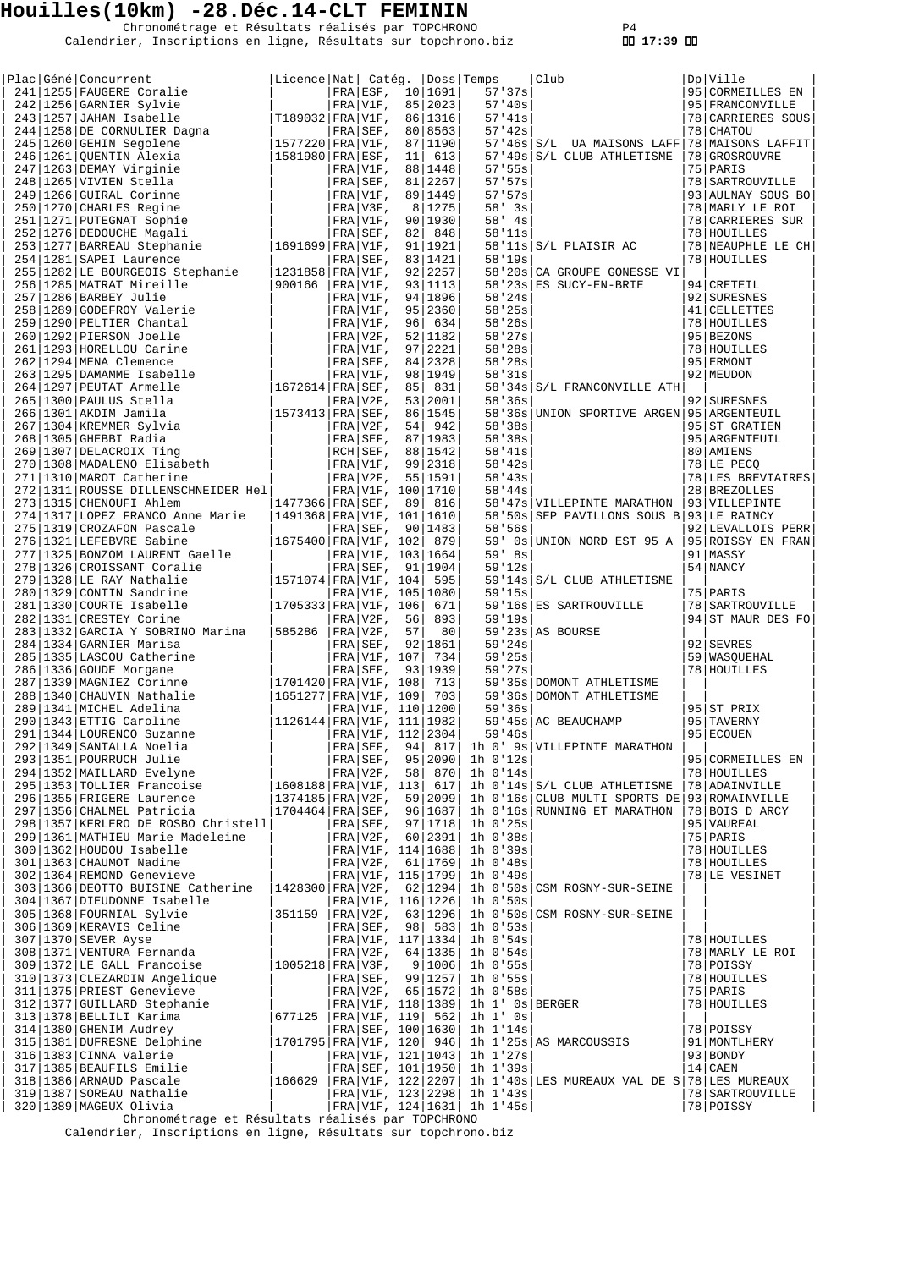Chronométrage et Résultats réalisés par TOPCHRONO P4 Calendrier, Inscriptions en ligne, Résultats sur topchrono.biz  **17:39** 

|  | Plac Géné Concurrent                                                                                                                                                                                                                         | Licence Nat  Catég.  Doss Temps |          |                     |                                | Club<br>$\mathbb{C}$ lub                       | Dp Ville          |
|--|----------------------------------------------------------------------------------------------------------------------------------------------------------------------------------------------------------------------------------------------|---------------------------------|----------|---------------------|--------------------------------|------------------------------------------------|-------------------|
|  |                                                                                                                                                                                                                                              |                                 |          |                     | 57'37s                         |                                                | 95 CORMEILLES EN  |
|  |                                                                                                                                                                                                                                              |                                 |          |                     | 57'40s                         |                                                | 95   FRANCONVILLE |
|  |                                                                                                                                                                                                                                              |                                 |          |                     | 57'31s                         |                                                | 78 CARRIERES SOUS |
|  |                                                                                                                                                                                                                                              |                                 |          |                     | 57'32s                         |                                                | 78 CHATOU         |
|  |                                                                                                                                                                                                                                              |                                 |          |                     |                                | 57'46s S/L UA MAISONS LAFF 78 MAISONS LAFFIT   |                   |
|  |                                                                                                                                                                                                                                              |                                 |          |                     |                                | 57'49s S/L CLUB ATHLETISME                     |                   |
|  |                                                                                                                                                                                                                                              |                                 |          |                     |                                |                                                | 78 GROSROUVRE     |
|  |                                                                                                                                                                                                                                              |                                 |          |                     | 57:55s                         |                                                | 75 PARIS          |
|  |                                                                                                                                                                                                                                              |                                 |          |                     | 57:57s                         |                                                | 78   SARTROUVILLE |
|  |                                                                                                                                                                                                                                              |                                 |          |                     | 57.57s                         |                                                | 93 AULNAY SOUS BO |
|  |                                                                                                                                                                                                                                              |                                 |          |                     | $58'$ 3s                       |                                                | 78 MARLY LE ROI   |
|  |                                                                                                                                                                                                                                              |                                 |          |                     | $58'$ 4s                       |                                                | 78 CARRIERES SUR  |
|  |                                                                                                                                                                                                                                              |                                 |          |                     | 58'11s                         |                                                | 78 HOUILLES       |
|  |                                                                                                                                                                                                                                              |                                 |          |                     |                                | $58'11s$ $S/L$ PLAISIR AC                      | 78 NEAUPHLE LE CH |
|  |                                                                                                                                                                                                                                              |                                 |          |                     |                                |                                                |                   |
|  |                                                                                                                                                                                                                                              |                                 |          |                     | 58'19s                         |                                                | 78 HOUILLES       |
|  |                                                                                                                                                                                                                                              |                                 |          |                     |                                | 58'20s CA GROUPE GONESSE VI                    |                   |
|  |                                                                                                                                                                                                                                              |                                 |          |                     |                                | $58'23s$ ES SUCY-EN-BRIE                       | 94 CRETEIL        |
|  |                                                                                                                                                                                                                                              |                                 |          |                     | 58'24s                         |                                                | 92   SURESNES     |
|  |                                                                                                                                                                                                                                              |                                 |          |                     | 58'25s                         |                                                | 41 CELLETTES      |
|  |                                                                                                                                                                                                                                              |                                 |          |                     | 58'26s                         |                                                | 78 HOUILLES       |
|  |                                                                                                                                                                                                                                              |                                 |          |                     | 58'27s                         |                                                | 95 BEZONS         |
|  |                                                                                                                                                                                                                                              |                                 |          |                     | 58'28s                         |                                                | 78 HOUILLES       |
|  |                                                                                                                                                                                                                                              |                                 |          |                     |                                |                                                |                   |
|  |                                                                                                                                                                                                                                              |                                 |          |                     | 58'28s                         |                                                | 95 ERMONT         |
|  |                                                                                                                                                                                                                                              |                                 |          |                     | 58'31s                         |                                                | 92   MEUDON       |
|  |                                                                                                                                                                                                                                              |                                 |          |                     |                                | 58'34s S/L FRANCONVILLE ATH                    |                   |
|  |                                                                                                                                                                                                                                              |                                 |          |                     | 58'36s                         |                                                | 92 SURESNES       |
|  |                                                                                                                                                                                                                                              |                                 |          |                     |                                | 58'36s UNION SPORTIVE ARGEN 95 ARGENTEUIL      |                   |
|  |                                                                                                                                                                                                                                              |                                 |          |                     | 58'38s                         |                                                | 95 ST GRATIEN     |
|  |                                                                                                                                                                                                                                              |                                 |          |                     | 58'38s                         |                                                | 95 ARGENTEUIL     |
|  |                                                                                                                                                                                                                                              |                                 |          |                     |                                |                                                |                   |
|  |                                                                                                                                                                                                                                              |                                 |          |                     | 58'41s                         |                                                | 80 AMIENS         |
|  |                                                                                                                                                                                                                                              |                                 |          |                     | $58'$ 42s                      |                                                | 78 LE PECQ        |
|  | 254   1231 SAPEI Laurence<br>254   1231 SAPEI Laurence<br>255   1232 LE BOURGEOIS Stephanie<br>255   1282 LE BOURGEOIS Stephanie<br>255   1282 LE BOURGEOIS Stephanie<br>267   1286   NARBEY Julie<br>267   1286   NARBEY Julie<br>268   129 |                                 |          |                     | 58'3s                          |                                                | 78 LES BREVIAIRES |
|  | 272   1311   ROUSSE DILLENSCHNEIDER Hel   FRA   VIF, 100   1710<br>273   1315   CHENOUFI Ahlem   1477366   FRA   SEF, 89   816<br>274   1317   LOPEZ FRANCO Anne Marie   1491368   FRA   VIF, 101   1610                                     |                                 |          |                     | 58'44s                         |                                                | 28 BREZOLLES      |
|  |                                                                                                                                                                                                                                              |                                 |          |                     |                                | 58'47s VILLEPINTE MARATHON   93 VILLEPINTE     |                   |
|  |                                                                                                                                                                                                                                              |                                 |          |                     |                                | 58'50s SEP PAVILLONS SOUS B 93 LE RAINCY       |                   |
|  |                                                                                                                                                                                                                                              |                                 |          |                     | 58'56s                         |                                                | 92 LEVALLOIS PERR |
|  |                                                                                                                                                                                                                                              |                                 |          |                     |                                |                                                |                   |
|  |                                                                                                                                                                                                                                              |                                 |          |                     |                                | 59' 0s UNION NORD EST 95 A   95 ROISSY EN FRAN |                   |
|  |                                                                                                                                                                                                                                              |                                 |          |                     | 59' 8s                         |                                                | 91 MASSY          |
|  |                                                                                                                                                                                                                                              |                                 |          |                     | 59'12s                         |                                                | $54$ NANCY        |
|  |                                                                                                                                                                                                                                              |                                 |          |                     |                                | 59'14s S/L CLUB ATHLETISME                     |                   |
|  |                                                                                                                                                                                                                                              |                                 |          |                     | 59'15s                         |                                                | 75   PARIS        |
|  |                                                                                                                                                                                                                                              |                                 |          |                     |                                | 59'16s ES SARTROUVILLE                         | 78   SARTROUVILLE |
|  |                                                                                                                                                                                                                                              |                                 |          |                     | 59'19s                         |                                                | 94 ST MAUR DES FO |
|  |                                                                                                                                                                                                                                              |                                 |          |                     |                                |                                                |                   |
|  |                                                                                                                                                                                                                                              |                                 |          |                     |                                | $59'23s$ AS BOURSE                             |                   |
|  |                                                                                                                                                                                                                                              |                                 |          |                     | 59'24s                         |                                                | 92 SEVRES         |
|  |                                                                                                                                                                                                                                              |                                 |          |                     | 59'25s                         |                                                | 59   WASQUEHAL    |
|  |                                                                                                                                                                                                                                              |                                 |          |                     | 59'27s                         |                                                | 78 HOUILLES       |
|  |                                                                                                                                                                                                                                              |                                 |          |                     |                                | 59'35s   DOMONT ATHLETISME                     |                   |
|  |                                                                                                                                                                                                                                              |                                 |          |                     |                                | 59'36s DOMONT ATHLETISME                       |                   |
|  |                                                                                                                                                                                                                                              |                                 |          |                     | 59'36s                         |                                                | 95 ST PRIX        |
|  |                                                                                                                                                                                                                                              |                                 |          |                     |                                | 59'45s AC BEAUCHAMP                            | 95   TAVERNY      |
|  |                                                                                                                                                                                                                                              |                                 |          |                     |                                |                                                |                   |
|  |                                                                                                                                                                                                                                              |                                 |          |                     | 59'46s                         |                                                | 95 ECOUEN         |
|  |                                                                                                                                                                                                                                              |                                 | FRA SEF, | 94   817            |                                | 1h 0' 9s VILLEPINTE MARATHON                   |                   |
|  |                                                                                                                                                                                                                                              |                                 |          | FRA SEF, 95   2090  | $1h$ $0'12s$                   |                                                | 95 CORMEILLES EN  |
|  |                                                                                                                                                                                                                                              |                                 |          | FRA V2F, 58 870     | $1h$ $0'14s$                   |                                                | 78 HOUILLES       |
|  |                                                                                                                                                                                                                                              | 1608188 FRA V1F, 113            |          | 617                 |                                | 1h 0'14s S/L CLUB ATHLETISME                   | 78 ADAINVILLE     |
|  | 221 1349  DOUKENCO SUZANNE<br>293  1349  DOURRUCH Julie<br>294  1352  MAILLARD Evelyne<br>295  1353  TOLLIER Francoise<br>296  1355  FRIGERE Laurence<br>296  1355  CHALMEL Patricia<br>292  1356  CHALMEL Patricia<br>292  1355  CHALMEL Pa | 1374185 FRA V2F,                |          | 59 2099             |                                | 1h 0'16s CLUB MULTI SPORTS DE 93 ROMAINVILLE   |                   |
|  |                                                                                                                                                                                                                                              | $ 1704464 $ FRA $ $ SEF,        |          | 96 1687             |                                | 1h 0'16s RUNNING ET MARATHON                   | 78 BOIS D ARCY    |
|  | 298   1357   KERLERO DE ROSBO Christell                                                                                                                                                                                                      |                                 |          | FRA SEF, 97   1718  | $1h$ $0'25s$                   |                                                | 95 VAUREAL        |
|  |                                                                                                                                                                                                                                              |                                 |          |                     |                                |                                                |                   |
|  | 299   1361   MATHIEU Marie Madeleine                                                                                                                                                                                                         |                                 |          | FRA V2F, 60 2391    | $1h$ $0.38s$                   |                                                | 75 PARIS          |
|  | 300   1362   HOUDOU Isabelle                                                                                                                                                                                                                 |                                 |          | FRA V1F, 114   1688 | $1h$ 0'39s                     |                                                | 78 HOUILLES       |
|  |                                                                                                                                                                                                                                              |                                 |          | FRA V2F, 61 1769    | $1h$ $0.48s$                   |                                                | 78 HOUILLES       |
|  | 301 1363 CHAUMOT Nadine<br>302 1364 REMOND Genevieve                                                                                                                                                                                         |                                 |          | FRA V1F, 115   1799 | 1h 0'49s                       |                                                | 78 LE VESINET     |
|  | 303 1366 DEOTTO BUISINE Catherine   1428300 FRA V2F, 62 1294                                                                                                                                                                                 |                                 |          |                     |                                | 1h 0'50s CSM ROSNY-SUR-SEINE                   |                   |
|  | 304   1367   DIEUDONNE Isabelle                                                                                                                                                                                                              |                                 |          | FRA V1F, 116   1226 | $1h$ $0.50s$                   |                                                |                   |
|  | 305   1368   FOURNIAL Sylvie                                                                                                                                                                                                                 | 351159                          |          | FRA V2F, 63 1296    |                                | 1h 0'50s CSM ROSNY-SUR-SEINE                   |                   |
|  |                                                                                                                                                                                                                                              |                                 |          |                     |                                |                                                |                   |
|  | 306   1369   KERAVIS Celine                                                                                                                                                                                                                  |                                 |          | FRA SEF, 98 583     | $1h$ $0.53s$                   |                                                |                   |
|  | 307   1370   SEVER Ayse                                                                                                                                                                                                                      |                                 |          | FRA V1F, 117   1334 | $1h$ 0'54s                     |                                                | 78 HOUILLES       |
|  | 308   1371   VENTURA Fernanda                                                                                                                                                                                                                |                                 |          | FRA V2F, 64   1335  | $1h$ 0'54s                     |                                                | 78 MARLY LE ROI   |
|  | 309 1371 VERTORA Fernanda<br>309 1372 LE GALL Francoise                                                                                                                                                                                      | $ 1005218 $ FRA $ V3F,$         |          | 9   1006            | $1h$ 0'55s                     |                                                | 78 POISSY         |
|  | 310   1373   CLEZARDIN Angelique                                                                                                                                                                                                             |                                 |          | FRA SEF, 99   1257  | $1h$ 0'55s                     |                                                | 78 HOUILLES       |
|  | 311   1375   PRIEST Genevieve                                                                                                                                                                                                                |                                 |          | FRA V2F, 65 1572    | $1h$ $0.58s$                   |                                                | 75 PARIS          |
|  | 312   1377   GUILLARD Stephanie                                                                                                                                                                                                              |                                 |          | FRA V1F, 118   1389 |                                | 1h 1' Os BERGER                                | 78 HOUILLES       |
|  |                                                                                                                                                                                                                                              |                                 |          |                     |                                |                                                |                   |
|  | 313   1378   BELLILI Karima                                                                                                                                                                                                                  | 677125                          |          | FRA V1F, 119   562  | $1h 1'$ $0s$                   |                                                |                   |
|  | 314   1380   GHENIM Audrey                                                                                                                                                                                                                   |                                 |          | FRA SEF, 100   1630 | 1h 1'14s                       |                                                | 78 POISSY         |
|  | 315 1381 DUFRESNE Delphine                                                                                                                                                                                                                   | 1701795 FRA V1F, 120  946       |          |                     |                                | 1h 1'25s AS MARCOUSSIS                         | 91   MONTLHERY    |
|  | 316   1383   CINNA Valerie                                                                                                                                                                                                                   |                                 |          |                     | FRA V1F, 121   1043   1h 1'27s |                                                | 93 BONDY          |
|  | 317   1385   BEAUFILS Emilie                                                                                                                                                                                                                 |                                 |          | FRA SEF, 101   1950 | 1h 1'39s                       |                                                | 14 CABN           |
|  | 318   1386   ARNAUD Pascale                                                                                                                                                                                                                  | 166629                          |          | FRA V1F, 122   2207 |                                | 1h 1'40s LES MUREAUX VAL DE S 78 LES MUREAUX   |                   |
|  | 319 1387 SOREAU Nathalie                                                                                                                                                                                                                     |                                 |          |                     | FRA V1F, 123   2298   1h 1'43s |                                                | 78   SARTROUVILLE |
|  |                                                                                                                                                                                                                                              |                                 |          |                     |                                |                                                |                   |
|  | 320   1389   MAGEUX Olivia                                                                                                                                                                                                                   |                                 |          | FRA V1F, 124   1631 | 1h 1'45s                       |                                                | 78 POISSY         |

Chronométrage et Résultats réalisés par TOPCHRONO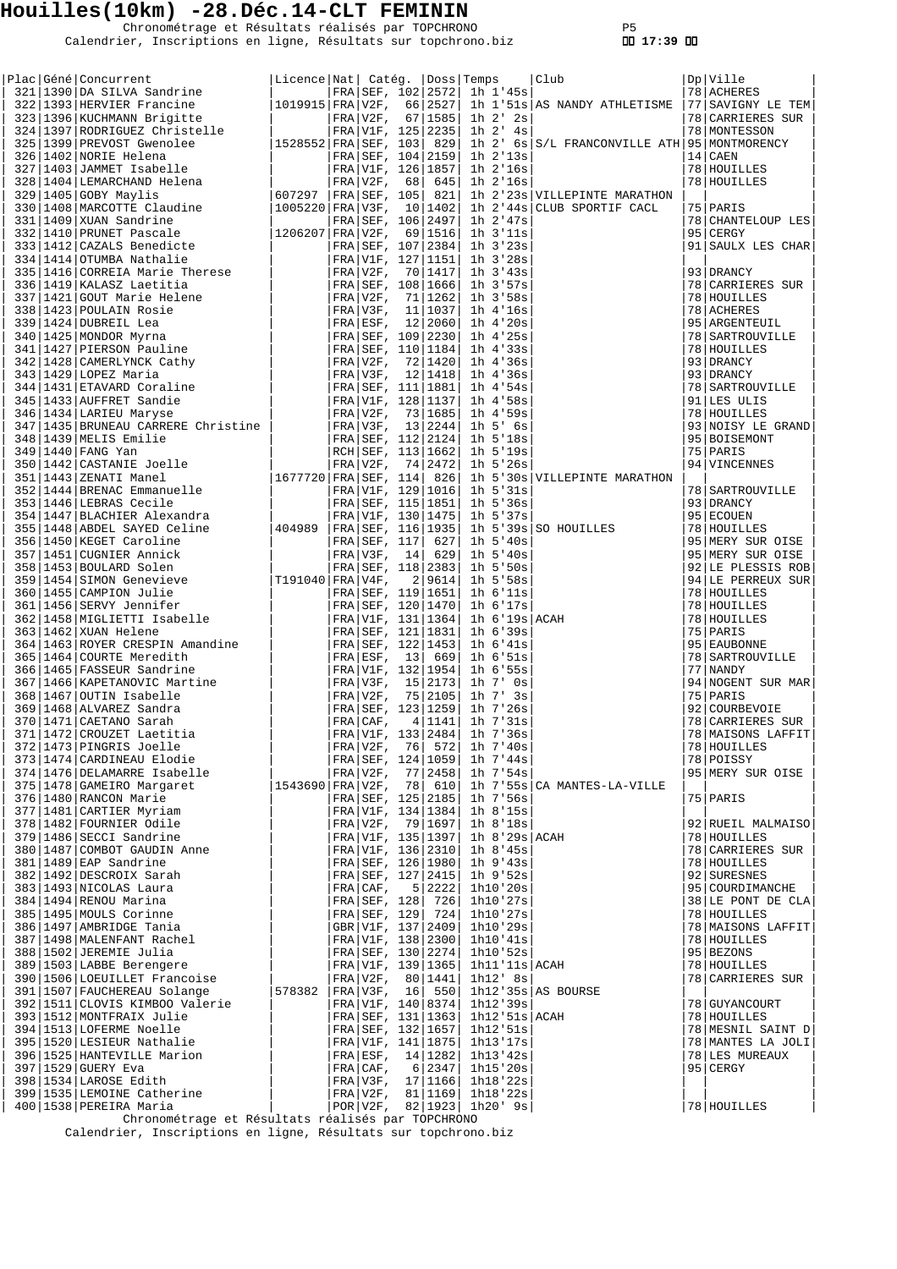Chronométrage et Résultats réalisés par TOPCHRONO P5 Calendrier, Inscriptions en ligne, Résultats sur topchrono.biz  **17:39** 

| FRA V2F, 77 2458 <br>$1h$ $7.54s$                                                                                                                                                                                                                                                | 95 MERY SUR OISE                |
|----------------------------------------------------------------------------------------------------------------------------------------------------------------------------------------------------------------------------------------------------------------------------------|---------------------------------|
| 374 1476 DELAMARRE Isabelle<br>375   1478   GAMEIRO Margaret<br> 1543690 FRA V2F, 78  610 <br>1h 7'55s CA MANTES-LA-VILLE                                                                                                                                                        |                                 |
| 376   1480   RANCON Marie<br>FRA SEF, 125   2185  <br>1h 7'56s                                                                                                                                                                                                                   | 75 PARIS                        |
| FRA V1F, 134   1384  <br>$1h$ $8'15s$                                                                                                                                                                                                                                            |                                 |
| 376   1480   RANCON Marie<br>377   1481   CARTIER Myriam<br>378   1482   FOURNIER Odile<br>379   1486   SECCI Sandrine<br>381   1489   EDMBOT GAUDIN Anne<br>381   1489   EAP Sandrine<br>381   1492   DESCROIX Sarah<br>383   1493   NICOLA<br>FRA V2F, 79   1697  <br>1h 8'18s | 92 RUEIL MALMAISO               |
| FRA V1F, 135   1397  <br>1h 8'29s ACAH                                                                                                                                                                                                                                           | 78 HOUILLES                     |
| FRA V1F, 136   2310  <br>1h 8'45s<br>FRA SEF, 126   1980                                                                                                                                                                                                                         | 78 CARRIERES SUR<br>78 HOUILLES |
| $1h$ 9'43s<br>FRA SEF, 127   2415  <br>$1h$ 9'52s                                                                                                                                                                                                                                | 92 SURESNES                     |
| 5 2222 <br>$FRA CAF$ ,<br>1h10'20s                                                                                                                                                                                                                                               | 95 COURDIMANCHE                 |
| FRA SEF, 128 726<br>1h10'27s                                                                                                                                                                                                                                                     | 38 LE PONT DE CLA               |
| FRA SEF, 129 724<br>1h10'27s                                                                                                                                                                                                                                                     | 78 HOUILLES                     |
| GBR V1F, 137   2409  <br>1h10'29s                                                                                                                                                                                                                                                | 78   MAISONS LAFFIT             |
| FRA V1F, 138   2300  <br>1h10'41s                                                                                                                                                                                                                                                | 78 HOUILLES                     |
| FRA SEF, 130   2274  <br>1h10:52s                                                                                                                                                                                                                                                | 95 BEZONS                       |
| FRA V1F, 139   1365  <br>1h11'11s ACAH                                                                                                                                                                                                                                           | 78 HOUILLES                     |
| 390   1506   LOEUILLET Francoise<br>FRA V2F, 80 1441 <br>1h12' 8s<br>391   1507   FAUCHEREAU Solange                                                                                                                                                                             | 78 CARRIERES SUR                |
| $1h12'35s$ AS BOURSE<br> 578382  FRA V3F, 16  550 <br>392 1511 CLOVIS KIMBOO Valerie<br>FRA V1F, 140   8374  <br>1h12'39s                                                                                                                                                        | 78 GUYANCOURT                   |
| 393   1512   MONTFRAIX Julie<br>FRA SEF, 131   1363  <br>$1h12$ '51s $ACAH$                                                                                                                                                                                                      | 78 HOUILLES                     |
| 394   1513   LOFERME Noelle<br>FRA SEF, 132   1657  <br>1h12:51s                                                                                                                                                                                                                 | 78 MESNIL SAINT D               |
| 395   1520   LESIEUR Nathalie<br>FRA V1F, 141   1875  <br>1h13'17s                                                                                                                                                                                                               | 78 MANTES LA JOLI               |
| 396   1525   HANTEVILLE Marion<br>FRA ESF, 14   1282   1h13 ' 42s                                                                                                                                                                                                                | 78 LES MUREAUX                  |
| 397   1529   GUERY Eva<br>FRA CRF, 6 2347 <br>$1h15$ '20s<br>95 CERGY                                                                                                                                                                                                            |                                 |
| 398   1534   LAROSE Edith<br>FRA V3F, 17 1166 <br>1h18'22s                                                                                                                                                                                                                       |                                 |
| FRA V2F, 81 1169 <br>399 1535 LEMOINE Catherine<br>100 1509 DEPOTER Maria<br>1h18'22s                                                                                                                                                                                            |                                 |
| POR V2F, 82 1923 1h20'9s <br>Chronométrage et Résultats réalisés par TOPCHRONO                                                                                                                                                                                                   | 78 HOUILLES                     |